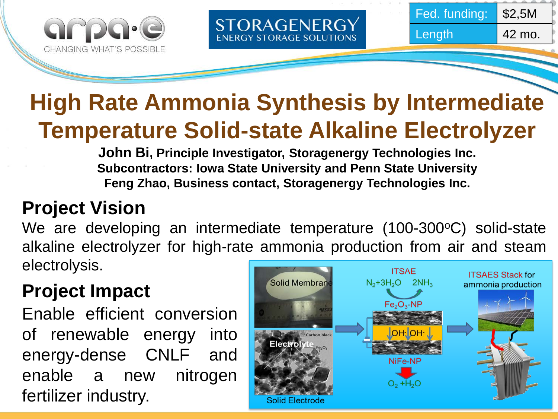



## **High Rate Ammonia Synthesis by Intermediate Temperature Solid-state Alkaline Electrolyzer**

STORAGENERGY **ENERGY STORAGE SOLUTIONS** 

**John Bi, Principle Investigator, Storagenergy Technologies Inc. Subcontractors: Iowa State University and Penn State University Feng Zhao, Business contact, Storagenergy Technologies Inc.**

### **Project Vision**

We are developing an intermediate temperature (100-300°C) solid-state alkaline electrolyzer for high-rate ammonia production from air and steam electrolysis. **ITSAE** 

### **Project Impact**

Enable efficient conversion of renewable energy into energy-dense CNLF and enable a new nitrogen fertilizer industry.

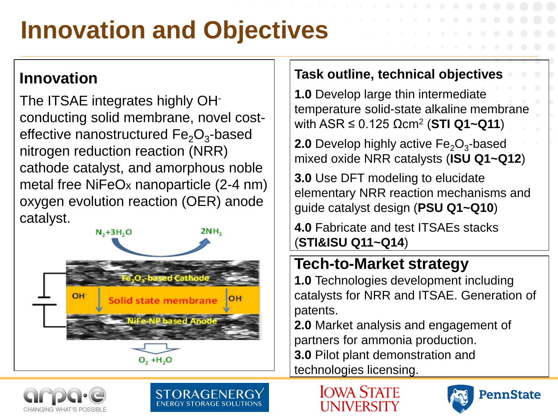# **Innovation and Objectives**

#### **Innovation**

The ITSAE integrates highly OHconducting solid membrane, novel costeffective nanostructured  $Fe<sub>2</sub>O<sub>3</sub>$ -based nitrogen reduction reaction (NRR) cathode catalyst, and amorphous noble metal free NiFeOx nanoparticle (2-4 nm) oxygen evolution reaction (OER) anode catalyst.



#### **Task outline, technical objectives**

**1.0** Develop large thin intermediate temperature solid-state alkaline membrane with ASR ≤ 0.125 Ωcm2 (**STI Q1~Q11**)

**2.0** Develop highly active  $Fe<sub>2</sub>O<sub>3</sub>$ -based mixed oxide NRR catalysts (**ISU Q1~Q12**)

**3.0** Use DFT modeling to elucidate elementary NRR reaction mechanisms and guide catalyst design (**PSU Q1~Q10**)

**4.0** Fabricate and test ITSAEs stacks (**STI&ISU Q11~Q14**)

#### **Tech-to-Market strategy**

**1.0** Technologies development including catalysts for NRR and ITSAE. Generation of patents.

**2.0** Market analysis and engagement of partners for ammonia production. **3.0** Pilot plant demonstration and

technologies licensing.